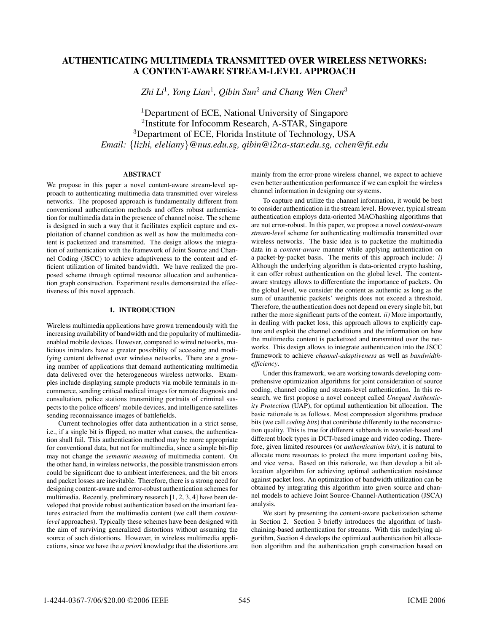# **AUTHENTICATING MULTIMEDIA TRANSMITTED OVER WIRELESS NETWORKS: A CONTENT-AWARE STREAM-LEVEL APPROACH**

*Zhi Li*<sup>1</sup>*, Yong Lian*<sup>1</sup>*, Qibin Sun*<sup>2</sup> *and Chang Wen Chen*<sup>3</sup>

Department of ECE, National University of Singapore Institute for Infocomm Research, A-STAR, Singapore Department of ECE, Florida Institute of Technology, USA *Email:* {*lizhi, eleliany*}*@nus.edu.sg, qibin@i2r.a-star.edu.sg, cchen@fit.edu*

## **ABSTRACT**

We propose in this paper a novel content-aware stream-level approach to authenticating multimedia data transmitted over wireless networks. The proposed approach is fundamentally different from conventional authentication methods and offers robust authentication for multimedia data in the presence of channel noise. The scheme is designed in such a way that it facilitates explicit capture and exploitation of channel condition as well as how the multimedia content is packetized and transmitted. The design allows the integration of authentication with the framework of Joint Source and Channel Coding (JSCC) to achieve adaptiveness to the content and efficient utilization of limited bandwidth. We have realized the proposed scheme through optimal resource allocation and authentication graph construction. Experiment results demonstrated the effectiveness of this novel approach.

## **1. INTRODUCTION**

Wireless multimedia applications have grown tremendously with the increasing availability of bandwidth and the popularity of multimediaenabled mobile devices. However, compared to wired networks, malicious intruders have a greater possibility of accessing and modifying content delivered over wireless networks. There are a growing number of applications that demand authenticating multimedia data delivered over the heterogeneous wireless networks. Examples include displaying sample products via mobile terminals in mcommerce, sending critical medical images for remote diagnosis and consultation, police stations transmitting portraits of criminal suspects to the police officers' mobile devices, and intelligence satellites sending reconnaissance images of battlefields.

Current technologies offer data authentication in a strict sense, i.e., if a single bit is flipped, no matter what causes, the authentication shall fail. This authentication method may be more appropriate for conventional data, but not for multimedia, since a simple bit-flip may not change the *semantic meaning* of multimedia content. On the other hand, in wireless networks, the possible transmission errors could be significant due to ambient interferences, and the bit errors and packet losses are inevitable. Therefore, there is a strong need for designing content-aware and error-robust authentication schemes for multimedia. Recently, preliminary research [1, 2, 3, 4] have been developed that provide robust authentication based on the invariant features extracted from the multimedia content (we call them *contentlevel* approaches). Typically these schemes have been designed with the aim of surviving generalized distortions without assuming the source of such distortions. However, in wireless multimedia applications, since we have the *a priori* knowledge that the distortions are mainly from the error-prone wireless channel, we expect to achieve even better authentication performance if we can exploit the wireless channel information in designing our systems.

To capture and utilize the channel information, it would be best to consider authentication in the stream level. However, typical stream authentication employs data-oriented MAC/hashing algorithms that are not error-robust. In this paper, we propose a novel *content-aware stream-level* scheme for authenticating multimedia transmitted over wireless networks. The basic idea is to packetize the multimedia data in a *content-aware* manner while applying authentication on a packet-by-packet basis. The merits of this approach include: *i)* Although the underlying algorithm is data-oriented crypto hashing, it can offer robust authentication on the global level. The contentaware strategy allows to differentiate the importance of packets. On the global level, we consider the content as authentic as long as the sum of unauthentic packets' weights does not exceed a threshold. Therefore, the authentication does not depend on every single bit, but rather the more significant parts of the content. *ii)* More importantly, in dealing with packet loss, this approach allows to explicitly capture and exploit the channel conditions and the information on how the multimedia content is packetized and transmitted over the networks. This design allows to integrate authentication into the JSCC framework to achieve *channel-adaptiveness* as well as *bandwidthefficiency*.

Under this framework, we are working towards developing comprehensive optimization algorithms for joint consideration of source coding, channel coding and stream-level authentication. In this research, we first propose a novel concept called *Unequal Authenticity Protection* (UAP), for optimal authentication bit allocation. The basic rationale is as follows. Most compression algorithms produce bits (we call *coding bits*) that contribute differently to the reconstruction quality. This is true for different subbands in wavelet-based and different block types in DCT-based image and video coding. Therefore, given limited resources (or *authentication bits*), it is natural to allocate more resources to protect the more important coding bits, and vice versa. Based on this rationale, we then develop a bit allocation algorithm for achieving optimal authentication resistance against packet loss. An optimization of bandwidth utilization can be obtained by integrating this algorithm into given source and channel models to achieve Joint Source-Channel-Authentication (JSCA) analysis.

We start by presenting the content-aware packetization scheme in Section 2. Section 3 briefly introduces the algorithm of hashchaining-based authentication for streams. With this underlying algorithm, Section 4 develops the optimized authentication bit allocation algorithm and the authentication graph construction based on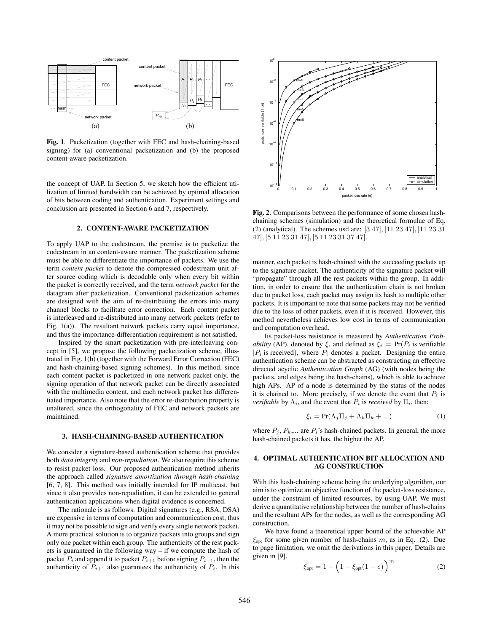

**Fig. 1**. Packetization (together with FEC and hash-chaining-based signing) for (a) conventional packetization and (b) the proposed content-aware packetization.

the concept of UAP. In Section 5, we sketch how the efficient utilization of limited bandwidth can be achieved by optimal allocation of bits between coding and authentication. Experiment settings and conclusion are presented in Section 6 and 7, respectively.

## **2. CONTENT-AWARE PACKETIZATION**

To apply UAP to the codestream, the premise is to packetize the codestream in an content-aware manner. The packetization scheme must be able to differentiate the importance of packets. We use the term *content packet* to denote the compressed codestream unit after source coding which is decodable only when every bit within the packet is correctly received, and the term *network packet* for the datagram after packetization. Conventional packetization schemes are designed with the aim of re-distributing the errors into many channel blocks to facilitate error correction. Each content packet is interleaved and re-distributed into many network packets (refer to Fig. 1(a)). The resultant network packets carry equal importance, and thus the importance-differentiation requirement is not satisfied.

Inspired by the smart packetization with pre-interleaving concept in [5], we propose the following packetization scheme, illustrated in Fig. 1(b) (together with the Forward Error Correction (FEC) and hash-chaining-based signing schemes). In this method, since each content packet is packetized in one network packet only, the signing operation of that network packet can be directly associated with the multimedia content, and each network packet has differentiated importance. Also note that the error re-distribution property is unaltered, since the orthogonality of FEC and network packets are maintained.

#### **3. HASH-CHAINING-BASED AUTHENTICATION**

We consider a signature-based authentication scheme that provides both *data integrity* and *non-repudiation*. We also require this scheme to resist packet loss. Our proposed authentication method inherits the approach called *signature amortization through hash-chaining* [6, 7, 8]. This method was initially intended for IP multicast, but since it also provides non-repudiation, it can be extended to general authentication applications when digital evidence is concerned.

The rationale is as follows. Digital signatures (e.g., RSA, DSA) are expensive in terms of computation and communication cost, thus it may not be possible to sign and verify every single network packet. A more practical solution is to organize packets into groups and sign only one packet within each group. The authenticity of the rest packets is guaranteed in the following way – if we compute the hash of packet  $P_i$  and append it to packet  $P_{i+1}$  before signing  $P_{i+1}$ , then the authenticity of  $P_{i+1}$  also guarantees the authenticity of  $P_i$ . In this



**Fig. 2**. Comparisons between the performance of some chosen hashchaining schemes (simulation) and the theoretical formulae of Eq. (2) (analytical). The schemes usd are: [3 47], [11 23 47], [11 23 31 47], [5 11 23 31 47], [5 11 23 31 37 47].

manner, each packet is hash-chained with the succeeding packets up to the signature packet. The authenticity of the signature packet will "propagate" through all the rest packets within the group. In addition, in order to ensure that the authentication chain is not broken due to packet loss, each packet may assign its hash to multiple other packets. It is important to note that some packets may not be verified due to the loss of other packets, even if it is received. However, this method nevertheless achieves low cost in terms of communication and computation overhead.

Its packet-loss resistance is measured by *Authentication Probability* (AP), denoted by  $\xi$ , and defined as  $\xi_i = Pr(P_i)$  is verifiable  $|P_i|$  is received), where  $P_i$  denotes a packet. Designing the entire authentication scheme can be abstracted as constructing an effective directed acyclic *Authentication Graph* (AG) (with nodes being the packets, and edges being the hash-chains), which is able to achieve high APs. AP of a node is determined by the status of the nodes it is chained to. More precisely, if we denote the event that  $P_i$  is *verifiable* by  $\Lambda_i$ , and the event that  $P_i$  is *received* by  $\Pi_i$ , then:

$$
\xi_i = \Pr(\Lambda_j \Pi_j + \Lambda_k \Pi_k + \ldots) \tag{1}
$$

where  $P_j$ ,  $P_k$ ,... are  $P_i$ 's hash-chained packets. In general, the more hash-chained packets it has, the higher the AP.

#### **4. OPTIMAL AUTHENTICATION BIT ALLOCATION AND AG CONSTRUCTION**

With this hash-chaining scheme being the underlying algorithm, our aim is to optimize an objective function of the packet-loss resistance, under the constraint of limited resources, by using UAP. We must derive a quantitative relationship between the number of hash-chains and the resultant APs for the nodes, as well as the corresponding AG construction.

We have found a theoretical upper bound of the achievable AP  $\xi_{opt}$  for some given number of hash-chains m, as in Eq. (2). Due to page limitation, we omit the derivations in this paper. Details are given in [9].

$$
\xi_{\text{opt}} = 1 - \left(1 - \xi_{\text{opt}}(1 - e)\right)^m \tag{2}
$$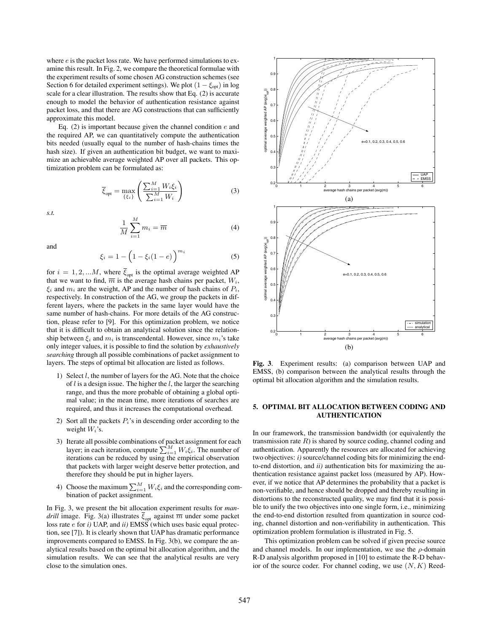where  $e$  is the packet loss rate. We have performed simulations to examine this result. In Fig. 2, we compare the theoretical formulae with the experiment results of some chosen AG construction schemes (see Section 6 for detailed experiment settings). We plot  $(1 - \xi_{opt})$  in log scale for a clear illustration. The results show that Eq. (2) is accurate enough to model the behavior of authentication resistance against packet loss, and that there are AG constructions that can sufficiently approximate this model.

Eq.  $(2)$  is important because given the channel condition  $e$  and the required AP, we can quantitatively compute the authentication bits needed (usually equal to the number of hash-chains times the hash size). If given an authentication bit budget, we want to maximize an achievable average weighted AP over all packets. This optimization problem can be formulated as:

$$
\overline{\xi}_{\text{opt}} = \max_{\{\xi_i\}} \left( \frac{\sum_{i=1}^M W_i \xi_i}{\sum_{i=1}^M W_i} \right) \tag{3}
$$

*s.t.*

$$
\frac{1}{M} \sum_{i=1}^{M} m_i = \overline{m}
$$
\n(4)

and

$$
\xi_i = 1 - \left(1 - \xi_i(1 - e)\right)^{m_i}
$$
 (5)

for  $i = 1, 2, ...M$ , where  $\overline{\xi}_{\text{opt}}$  is the optimal average weighted AP that we want to find,  $\overline{m}$  is the average hash chains per packet,  $W_i$ ,  $\xi_i$  and  $m_i$  are the weight, AP and the number of hash chains of  $P_i$ , respectively. In construction of the AG, we group the packets in different layers, where the packets in the same layer would have the same number of hash-chains. For more details of the AG construction, please refer to [9]. For this optimization problem, we notice that it is difficult to obtain an analytical solution since the relationship between  $\xi_i$  and  $m_i$  is transcendental. However, since  $m_i$ 's take only integer values, it is possible to find the solution by *exhaustively searching* through all possible combinations of packet assignment to layers. The steps of optimal bit allocation are listed as follows.

- 1) Select  $l$ , the number of layers for the AG. Note that the choice of  $l$  is a design issue. The higher the  $l$ , the larger the searching range, and thus the more probable of obtaining a global optimal value; in the mean time, more iterations of searches are required, and thus it increases the computational overhead.
- 2) Sort all the packets  $P_i$ 's in descending order according to the weight  $W_i$ 's.
- 3) Iterate all possible combinations of packet assignment for each layer; in each iteration, compute  $\sum_{i=1}^{M} W_i \xi_i$ . The number of iterations can be reduced by using the empirical observation that packets with larger weight deserve better protection, and therefore they should be put in higher layers.
- 4) Choose the maximum  $\sum_{i=1}^{M} W_i \xi_i$  and the corresponding combination of packet assignment.

In Fig. 3, we present the bit allocation experiment results for *mandrill* image. Fig. 3(a) illustrates  $\xi_{opt}$  against  $\overline{m}$  under some packet loss rate e for *i)* UAP, and *ii)* EMSS (which uses basic equal protection, see [7]). It is clearly shown that UAP has dramatic performance improvements compared to EMSS. In Fig. 3(b), we compare the analytical results based on the optimal bit allocation algorithm, and the simulation results. We can see that the analytical results are very close to the simulation ones.



**Fig. 3**. Experiment results: (a) comparison between UAP and EMSS, (b) comparison between the analytical results through the optimal bit allocation algorithm and the simulation results.

# **5. OPTIMAL BIT ALLOCATION BETWEEN CODING AND AUTHENTICATION**

In our framework, the transmission bandwidth (or equivalently the transmission rate  $R$ ) is shared by source coding, channel coding and authentication. Apparently the resources are allocated for achieving two objectives: *i)* source/channel coding bits for minimizing the endto-end distortion, and *ii)* authentication bits for maximizing the authentication resistance against packet loss (measured by AP). However, if we notice that AP determines the probability that a packet is non-verifiable, and hence should be dropped and thereby resulting in distortions to the reconstructed quality, we may find that it is possible to unify the two objectives into one single form, i.e., minimizing the end-to-end distortion resulted from quantization in source coding, channel distortion and non-verifiability in authentication. This optimization problem formulation is illustrated in Fig. 5.

This optimization problem can be solved if given precise source and channel models. In our implementation, we use the  $\rho$ -domain R-D analysis algorithm proposed in [10] to estimate the R-D behavior of the source coder. For channel coding, we use  $(N, K)$  Reed-